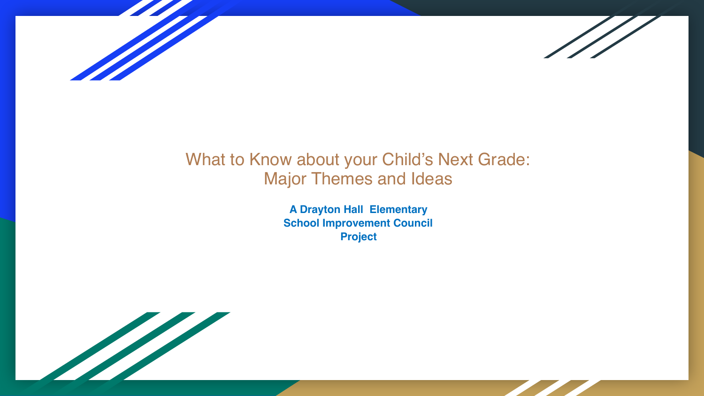



#### What to Know about your Child's Next Grade: Major Themes and Ideas

**A Drayton Hall Elementary School Improvement Council Project**

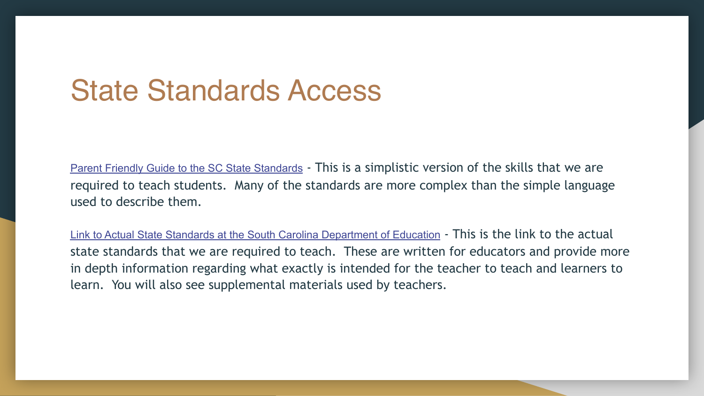## State Standards Access

[Parent Friendly Guide to the SC State Standards](http://www.scfriendlystandards.org/index.htm) - This is a simplistic version of the skills that we are required to teach students. Many of the standards are more complex than the simple language used to describe them.

[Link to Actual State Standards at the South Carolina Department of Education](https://ed.sc.gov/instruction/standards-learning/) - This is the link to the actual state standards that we are required to teach. These are written for educators and provide more in depth information regarding what exactly is intended for the teacher to teach and learners to learn. You will also see supplemental materials used by teachers.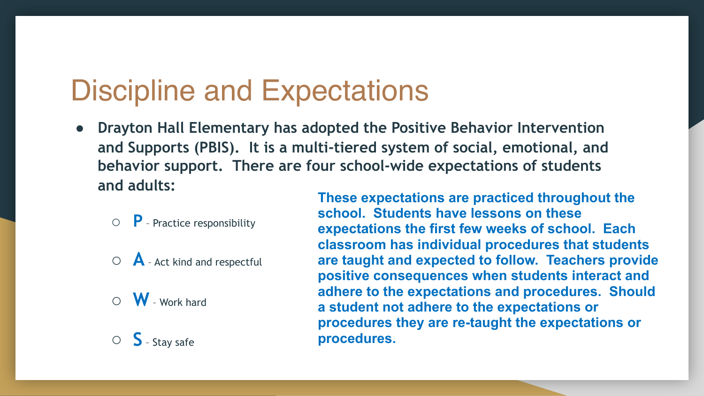# Discipline and Expectations

- **Drayton Hall Elementary has adopted the Positive Behavior Intervention and Supports (PBIS). It is a multi-tiered system of social, emotional, and behavior support. There are four school-wide expectations of students and adults:** 
	- **P** Practice responsibility
	- **A** Act kind and respectful
	- **W** Work hard
	- **S** Stay safe

**These expectations are practiced throughout the school. Students have lessons on these expectations the first few weeks of school. Each classroom has individual procedures that students are taught and expected to follow. Teachers provide positive consequences when students interact and adhere to the expectations and procedures. Should a student not adhere to the expectations or procedures they are re-taught the expectations or procedures.**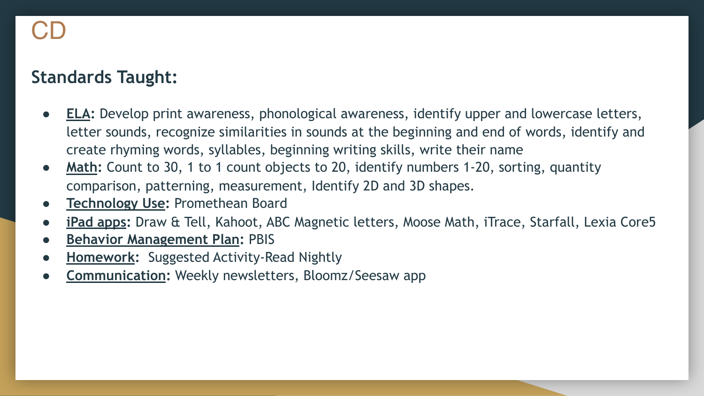- **ELA:** Develop print awareness, phonological awareness, identify upper and lowercase letters, letter sounds, recognize similarities in sounds at the beginning and end of words, identify and create rhyming words, syllables, beginning writing skills, write their name
- **Math:** Count to 30, 1 to 1 count objects to 20, identify numbers 1-20, sorting, quantity comparison, patterning, measurement, Identify 2D and 3D shapes.
- **Technology Use: Promethean Board**
- **iPad apps:** Draw & Tell, Kahoot, ABC Magnetic letters, Moose Math, iTrace, Starfall, Lexia Core5
- **Behavior Management Plan:** PBIS
- **Homework:** Suggested Activity-Read Nightly
- **Communication:** Weekly newsletters, Bloomz/Seesaw app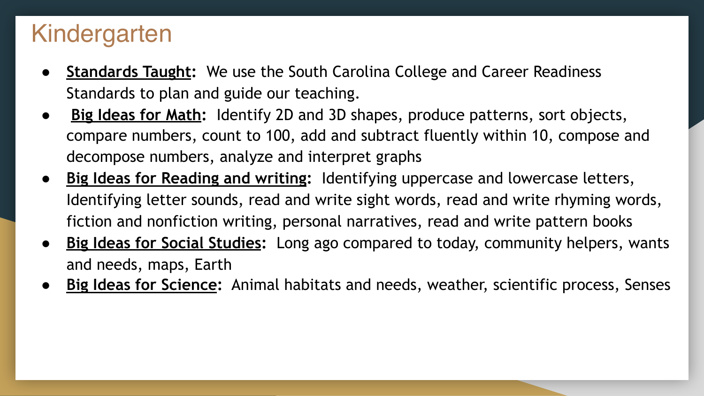## Kindergarten

- **Standards Taught:** We use the South Carolina College and Career Readiness Standards to plan and guide our teaching.
- **Big Ideas for Math:** Identify 2D and 3D shapes, produce patterns, sort objects, compare numbers, count to 100, add and subtract fluently within 10, compose and decompose numbers, analyze and interpret graphs
- **Big Ideas for Reading and writing:** Identifying uppercase and lowercase letters, Identifying letter sounds, read and write sight words, read and write rhyming words, fiction and nonfiction writing, personal narratives, read and write pattern books
- **Big Ideas for Social Studies:** Long ago compared to today, community helpers, wants and needs, maps, Earth
- **Big Ideas for Science:** Animal habitats and needs, weather, scientific process, Senses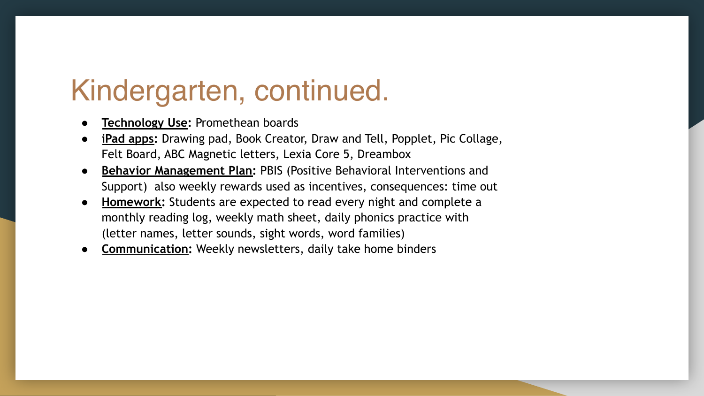# Kindergarten, continued.

- **Technology Use: Promethean boards**
- **iPad apps:** Drawing pad, Book Creator, Draw and Tell, Popplet, Pic Collage, Felt Board, ABC Magnetic letters, Lexia Core 5, Dreambox
- **Behavior Management Plan: PBIS (Positive Behavioral Interventions and** Support) also weekly rewards used as incentives, consequences: time out
- **Homework:** Students are expected to read every night and complete a monthly reading log, weekly math sheet, daily phonics practice with (letter names, letter sounds, sight words, word families)
- **Communication: Weekly newsletters, daily take home binders**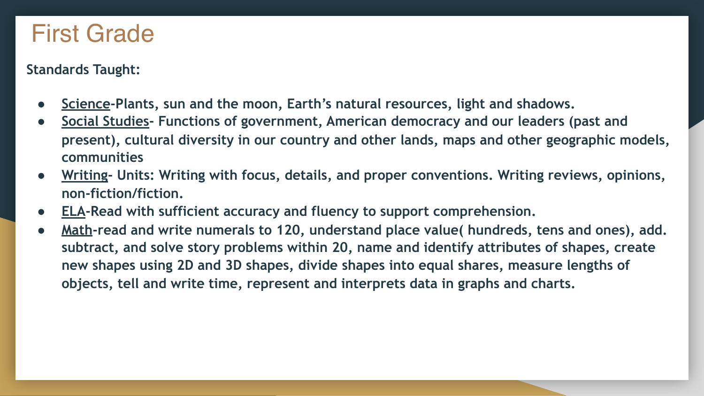### First Grade

- **Science-Plants, sun and the moon, Earth's natural resources, light and shadows.**
- Social Studies- Functions of government, American democracy and our leaders (past and **present), cultural diversity in our country and other lands, maps and other geographic models, communities**
- Writing- Units: Writing with focus, details, and proper conventions. Writing reviews, opinions, **non-fiction/fiction.**
- **ELA-Read with sufficient accuracy and fluency to support comprehension.**
- **Math-read and write numerals to 120, understand place value( hundreds, tens and ones), add. subtract, and solve story problems within 20, name and identify attributes of shapes, create new shapes using 2D and 3D shapes, divide shapes into equal shares, measure lengths of objects, tell and write time, represent and interprets data in graphs and charts.**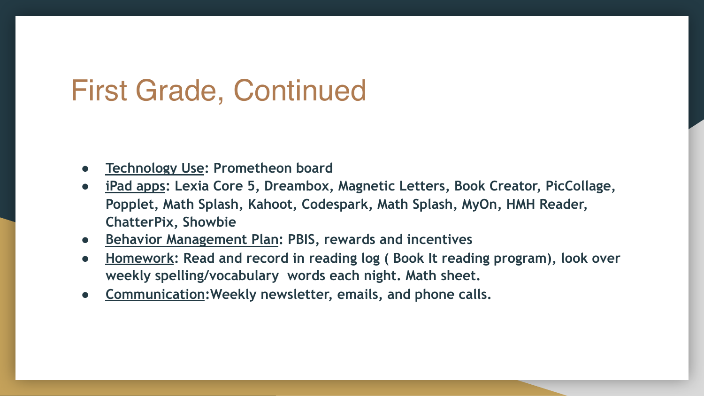# First Grade, Continued

- **Technology Use: Prometheon board**
- **iPad apps: Lexia Core 5, Dreambox, Magnetic Letters, Book Creator, PicCollage, Popplet, Math Splash, Kahoot, Codespark, Math Splash, MyOn, HMH Reader, ChatterPix, Showbie**
- **Behavior Management Plan: PBIS, rewards and incentives**
- **Homework: Read and record in reading log ( Book It reading program), look over weekly spelling/vocabulary words each night. Math sheet.**
- **Communication:Weekly newsletter, emails, and phone calls.**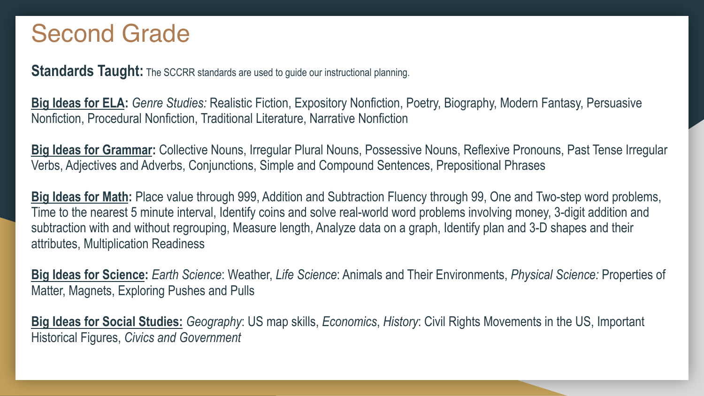### Second Grade

**Standards Taught:** The SCCRR standards are used to guide our instructional planning.

**Big Ideas for ELA:** *Genre Studies:* Realistic Fiction, Expository Nonfiction, Poetry, Biography, Modern Fantasy, Persuasive Nonfiction, Procedural Nonfiction, Traditional Literature, Narrative Nonfiction

**Big Ideas for Grammar:** Collective Nouns, Irregular Plural Nouns, Possessive Nouns, Reflexive Pronouns, Past Tense Irregular Verbs, Adjectives and Adverbs, Conjunctions, Simple and Compound Sentences, Prepositional Phrases

**Big Ideas for Math:** Place value through 999, Addition and Subtraction Fluency through 99, One and Two-step word problems, Time to the nearest 5 minute interval, Identify coins and solve real-world word problems involving money, 3-digit addition and subtraction with and without regrouping, Measure length, Analyze data on a graph, Identify plan and 3-D shapes and their attributes, Multiplication Readiness

**Big Ideas for Science:** *Earth Science*: Weather, *Life Science*: Animals and Their Environments, *Physical Science:* Properties of Matter, Magnets, Exploring Pushes and Pulls

**Big Ideas for Social Studies:** *Geography*: US map skills, *Economics*, *History*: Civil Rights Movements in the US, Important Historical Figures, *Civics and Government*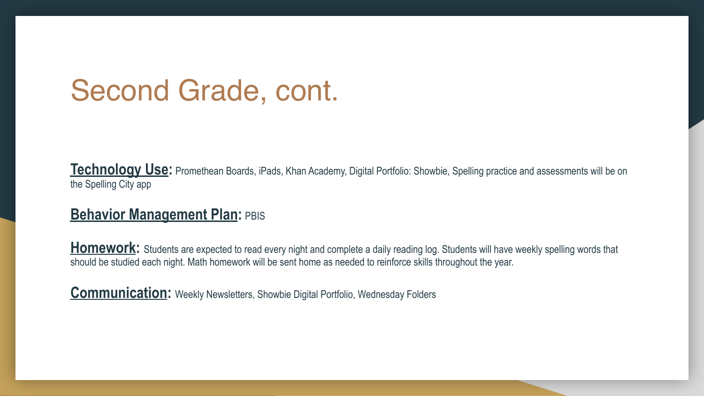# Second Grade, cont.

**Technology Use:** Promethean Boards, iPads, Khan Academy, Digital Portfolio: Showbie, Spelling practice and assessments will be on the Spelling City app

#### **Behavior Management Plan: PBIS**

Homework: Students are expected to read every night and complete a daily reading log. Students will have weekly spelling words that should be studied each night. Math homework will be sent home as needed to reinforce skills throughout the year.

**Communication:** Weekly Newsletters, Showbie Digital Portfolio, Wednesday Folders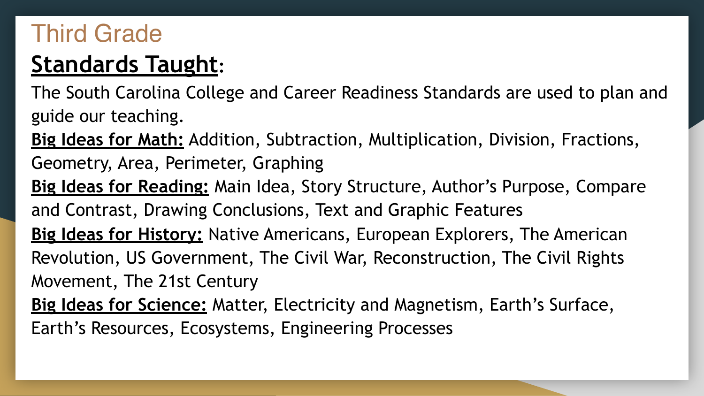## Third Grade

## **Standards Taught:**

The South Carolina College and Career Readiness Standards are used to plan and guide our teaching.

**Big Ideas for Math:** Addition, Subtraction, Multiplication, Division, Fractions,

- Geometry, Area, Perimeter, Graphing
- **Big Ideas for Reading:** Main Idea, Story Structure, Author's Purpose, Compare and Contrast, Drawing Conclusions, Text and Graphic Features
- **Big Ideas for History:** Native Americans, European Explorers, The American Revolution, US Government, The Civil War, Reconstruction, The Civil Rights Movement, The 21st Century
- **Big Ideas for Science:** Matter, Electricity and Magnetism, Earth's Surface, Earth's Resources, Ecosystems, Engineering Processes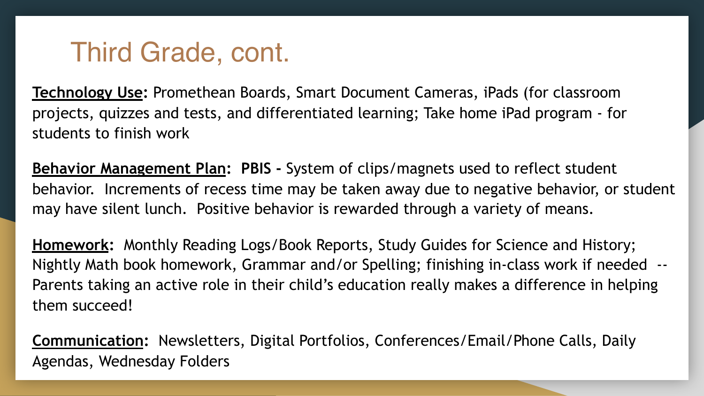## Third Grade, cont.

**Technology Use:** Promethean Boards, Smart Document Cameras, iPads (for classroom projects, quizzes and tests, and differentiated learning; Take home iPad program - for students to finish work

**Behavior Management Plan: PBIS -** System of clips/magnets used to reflect student behavior. Increments of recess time may be taken away due to negative behavior, or student may have silent lunch. Positive behavior is rewarded through a variety of means.

**Homework:** Monthly Reading Logs/Book Reports, Study Guides for Science and History; Nightly Math book homework, Grammar and/or Spelling; finishing in-class work if needed -- Parents taking an active role in their child's education really makes a difference in helping them succeed!

**Communication:** Newsletters, Digital Portfolios, Conferences/Email/Phone Calls, Daily Agendas, Wednesday Folders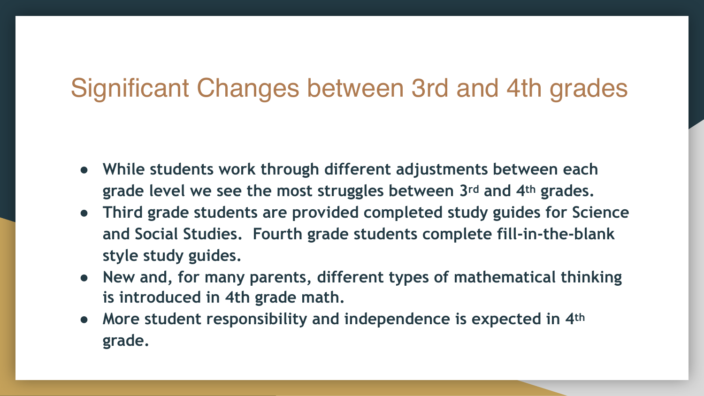## Significant Changes between 3rd and 4th grades

- **While students work through different adjustments between each grade level we see the most struggles between 3rd and 4th grades.**
- **Third grade students are provided completed study guides for Science and Social Studies. Fourth grade students complete fill-in-the-blank style study guides.**
- **New and, for many parents, different types of mathematical thinking is introduced in 4th grade math.**
- **More student responsibility and independence is expected in 4th grade.**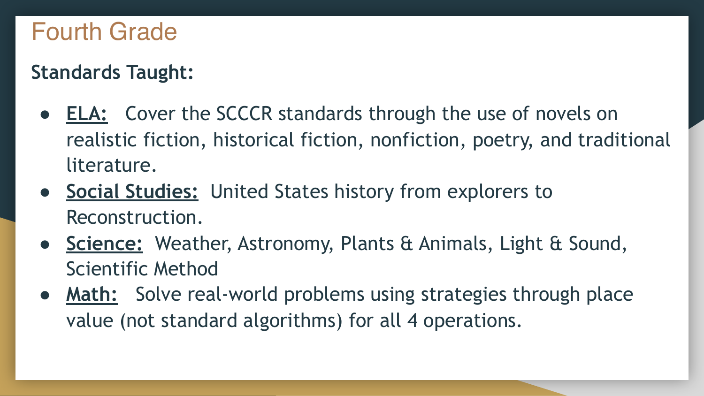### Fourth Grade

- **ELA:** Cover the SCCCR standards through the use of novels on realistic fiction, historical fiction, nonfiction, poetry, and traditional literature.
- **Social Studies:** United States history from explorers to Reconstruction.
- **Science:** Weather, Astronomy, Plants & Animals, Light & Sound, Scientific Method
- **Math:** Solve real-world problems using strategies through place value (not standard algorithms) for all 4 operations.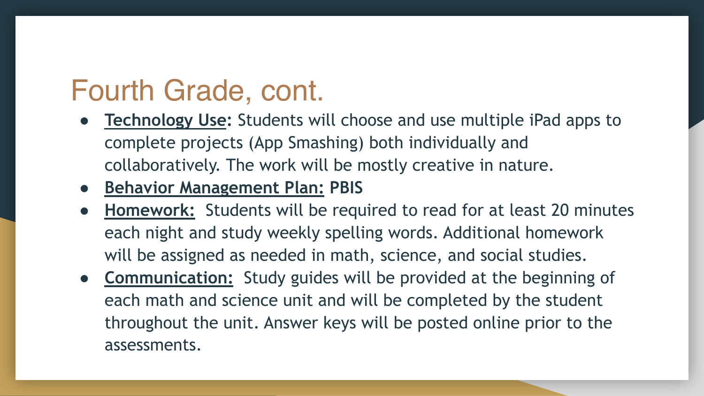# Fourth Grade, cont.

- **Technology Use:** Students will choose and use multiple iPad apps to complete projects (App Smashing) both individually and collaboratively. The work will be mostly creative in nature.
- **Behavior Management Plan: PBIS**
- **Homework:** Students will be required to read for at least 20 minutes each night and study weekly spelling words. Additional homework will be assigned as needed in math, science, and social studies.
- **Communication:** Study guides will be provided at the beginning of each math and science unit and will be completed by the student throughout the unit. Answer keys will be posted online prior to the assessments.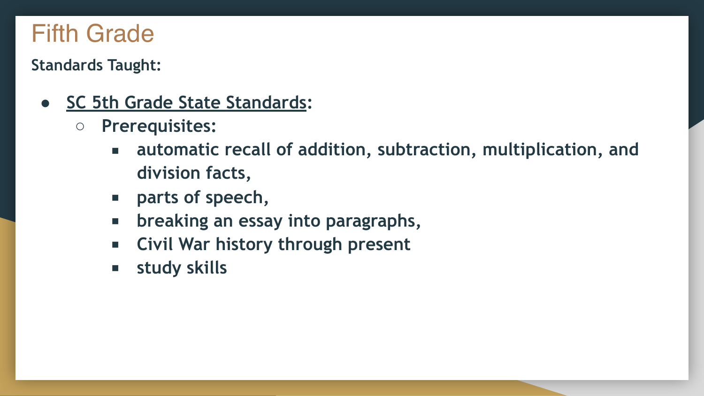## Fifth Grade

- **SC 5th Grade State Standards:** 
	- **Prerequisites:** 
		- **automatic recall of addition, subtraction, multiplication, and division facts,**
		- **parts of speech**,
		- **breaking an essay into paragraphs,**
		- **Civil War history through present**
		- **study skills**